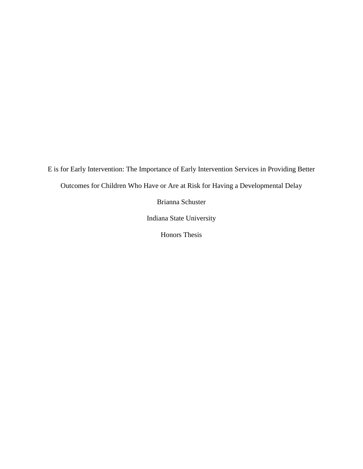E is for Early Intervention: The Importance of Early Intervention Services in Providing Better Outcomes for Children Who Have or Are at Risk for Having a Developmental Delay

Brianna Schuster

Indiana State University

Honors Thesis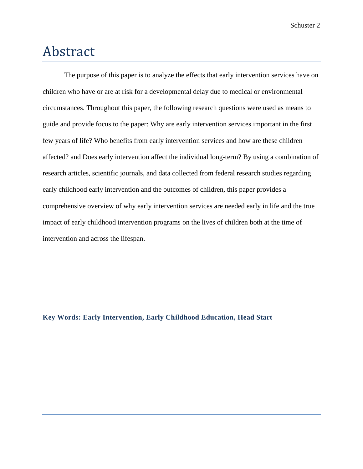# Abstract

The purpose of this paper is to analyze the effects that early intervention services have on children who have or are at risk for a developmental delay due to medical or environmental circumstances. Throughout this paper, the following research questions were used as means to guide and provide focus to the paper: Why are early intervention services important in the first few years of life? Who benefits from early intervention services and how are these children affected? and Does early intervention affect the individual long-term? By using a combination of research articles, scientific journals, and data collected from federal research studies regarding early childhood early intervention and the outcomes of children, this paper provides a comprehensive overview of why early intervention services are needed early in life and the true impact of early childhood intervention programs on the lives of children both at the time of intervention and across the lifespan.

#### **Key Words: Early Intervention, Early Childhood Education, Head Start**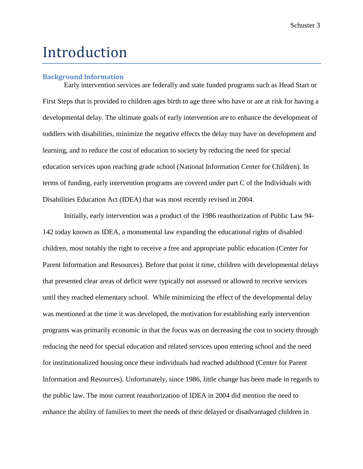# Introduction

#### **Background Information**

Early intervention services are federally and state funded programs such as Head Start or First Steps that is provided to children ages birth to age three who have or are at risk for having a developmental delay. The ultimate goals of early intervention are to enhance the development of toddlers with disabilities, minimize the negative effects the delay may have on development and learning, and to reduce the cost of education to society by reducing the need for special education services upon reaching grade school (National Information Center for Children). In terms of funding, early intervention programs are covered under part C of the Individuals with Disabilities Education Act (IDEA) that was most recently revised in 2004.

Initially, early intervention was a product of the 1986 reauthorization of Public Law 94- 142 today known as IDEA, a monumental law expanding the educational rights of disabled children, most notably the right to receive a free and appropriate public education (Center for Parent Information and Resources). Before that point it time, children with developmental delays that presented clear areas of deficit were typically not assessed or allowed to receive services until they reached elementary school. While minimizing the effect of the developmental delay was mentioned at the time it was developed, the motivation for establishing early intervention programs was primarily economic in that the focus was on decreasing the cost to society through reducing the need for special education and related services upon entering school and the need for institutionalized housing once these individuals had reached adulthood (Center for Parent Information and Resources). Unfortunately, since 1986, little change has been made in regards to the public law. The most current reauthorization of IDEA in 2004 did mention the need to enhance the ability of families to meet the needs of their delayed or disadvantaged children in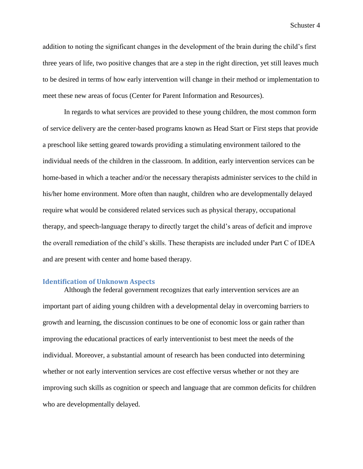addition to noting the significant changes in the development of the brain during the child's first three years of life, two positive changes that are a step in the right direction, yet still leaves much to be desired in terms of how early intervention will change in their method or implementation to meet these new areas of focus (Center for Parent Information and Resources).

In regards to what services are provided to these young children, the most common form of service delivery are the center-based programs known as Head Start or First steps that provide a preschool like setting geared towards providing a stimulating environment tailored to the individual needs of the children in the classroom. In addition, early intervention services can be home-based in which a teacher and/or the necessary therapists administer services to the child in his/her home environment. More often than naught, children who are developmentally delayed require what would be considered related services such as physical therapy, occupational therapy, and speech-language therapy to directly target the child's areas of deficit and improve the overall remediation of the child's skills. These therapists are included under Part C of IDEA and are present with center and home based therapy.

#### **Identification of Unknown Aspects**

Although the federal government recognizes that early intervention services are an important part of aiding young children with a developmental delay in overcoming barriers to growth and learning, the discussion continues to be one of economic loss or gain rather than improving the educational practices of early interventionist to best meet the needs of the individual. Moreover, a substantial amount of research has been conducted into determining whether or not early intervention services are cost effective versus whether or not they are improving such skills as cognition or speech and language that are common deficits for children who are developmentally delayed.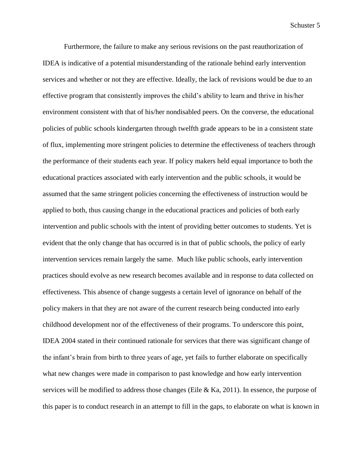Furthermore, the failure to make any serious revisions on the past reauthorization of IDEA is indicative of a potential misunderstanding of the rationale behind early intervention services and whether or not they are effective. Ideally, the lack of revisions would be due to an effective program that consistently improves the child's ability to learn and thrive in his/her environment consistent with that of his/her nondisabled peers. On the converse, the educational policies of public schools kindergarten through twelfth grade appears to be in a consistent state of flux, implementing more stringent policies to determine the effectiveness of teachers through the performance of their students each year. If policy makers held equal importance to both the educational practices associated with early intervention and the public schools, it would be assumed that the same stringent policies concerning the effectiveness of instruction would be applied to both, thus causing change in the educational practices and policies of both early intervention and public schools with the intent of providing better outcomes to students. Yet is evident that the only change that has occurred is in that of public schools, the policy of early intervention services remain largely the same. Much like public schools, early intervention practices should evolve as new research becomes available and in response to data collected on effectiveness. This absence of change suggests a certain level of ignorance on behalf of the policy makers in that they are not aware of the current research being conducted into early childhood development nor of the effectiveness of their programs. To underscore this point, IDEA 2004 stated in their continued rationale for services that there was significant change of the infant's brain from birth to three years of age, yet fails to further elaborate on specifically what new changes were made in comparison to past knowledge and how early intervention services will be modified to address those changes (Eile  $\&$  Ka, 2011). In essence, the purpose of this paper is to conduct research in an attempt to fill in the gaps, to elaborate on what is known in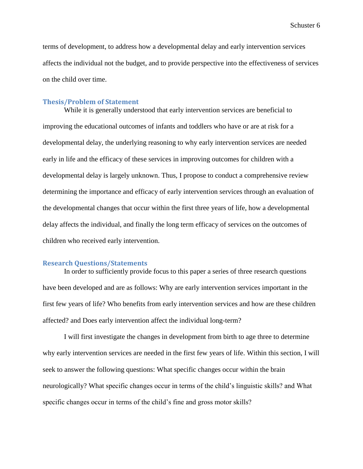terms of development, to address how a developmental delay and early intervention services affects the individual not the budget, and to provide perspective into the effectiveness of services on the child over time.

#### **Thesis/Problem of Statement**

While it is generally understood that early intervention services are beneficial to improving the educational outcomes of infants and toddlers who have or are at risk for a developmental delay, the underlying reasoning to why early intervention services are needed early in life and the efficacy of these services in improving outcomes for children with a developmental delay is largely unknown. Thus, I propose to conduct a comprehensive review determining the importance and efficacy of early intervention services through an evaluation of the developmental changes that occur within the first three years of life, how a developmental delay affects the individual, and finally the long term efficacy of services on the outcomes of children who received early intervention.

#### **Research Questions/Statements**

In order to sufficiently provide focus to this paper a series of three research questions have been developed and are as follows: Why are early intervention services important in the first few years of life? Who benefits from early intervention services and how are these children affected? and Does early intervention affect the individual long-term?

I will first investigate the changes in development from birth to age three to determine why early intervention services are needed in the first few years of life. Within this section, I will seek to answer the following questions: What specific changes occur within the brain neurologically? What specific changes occur in terms of the child's linguistic skills? and What specific changes occur in terms of the child's fine and gross motor skills?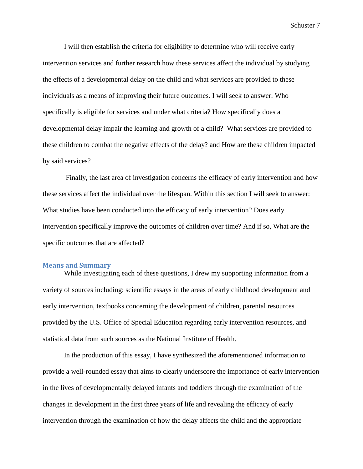I will then establish the criteria for eligibility to determine who will receive early intervention services and further research how these services affect the individual by studying the effects of a developmental delay on the child and what services are provided to these individuals as a means of improving their future outcomes. I will seek to answer: Who specifically is eligible for services and under what criteria? How specifically does a developmental delay impair the learning and growth of a child? What services are provided to these children to combat the negative effects of the delay? and How are these children impacted by said services?

Finally, the last area of investigation concerns the efficacy of early intervention and how these services affect the individual over the lifespan. Within this section I will seek to answer: What studies have been conducted into the efficacy of early intervention? Does early intervention specifically improve the outcomes of children over time? And if so, What are the specific outcomes that are affected?

#### **Means and Summary**

While investigating each of these questions, I drew my supporting information from a variety of sources including: scientific essays in the areas of early childhood development and early intervention, textbooks concerning the development of children, parental resources provided by the U.S. Office of Special Education regarding early intervention resources, and statistical data from such sources as the National Institute of Health.

In the production of this essay, I have synthesized the aforementioned information to provide a well-rounded essay that aims to clearly underscore the importance of early intervention in the lives of developmentally delayed infants and toddlers through the examination of the changes in development in the first three years of life and revealing the efficacy of early intervention through the examination of how the delay affects the child and the appropriate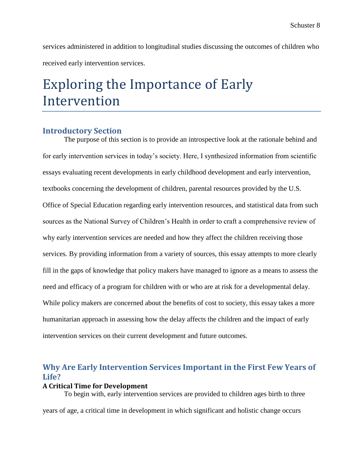services administered in addition to longitudinal studies discussing the outcomes of children who received early intervention services.

# Exploring the Importance of Early Intervention

### **Introductory Section**

The purpose of this section is to provide an introspective look at the rationale behind and for early intervention services in today's society. Here, I synthesized information from scientific essays evaluating recent developments in early childhood development and early intervention, textbooks concerning the development of children, parental resources provided by the U.S. Office of Special Education regarding early intervention resources, and statistical data from such sources as the National Survey of Children's Health in order to craft a comprehensive review of why early intervention services are needed and how they affect the children receiving those services. By providing information from a variety of sources, this essay attempts to more clearly fill in the gaps of knowledge that policy makers have managed to ignore as a means to assess the need and efficacy of a program for children with or who are at risk for a developmental delay. While policy makers are concerned about the benefits of cost to society, this essay takes a more humanitarian approach in assessing how the delay affects the children and the impact of early intervention services on their current development and future outcomes.

# **Why Are Early Intervention Services Important in the First Few Years of Life?**

#### **A Critical Time for Development**

To begin with, early intervention services are provided to children ages birth to three years of age, a critical time in development in which significant and holistic change occurs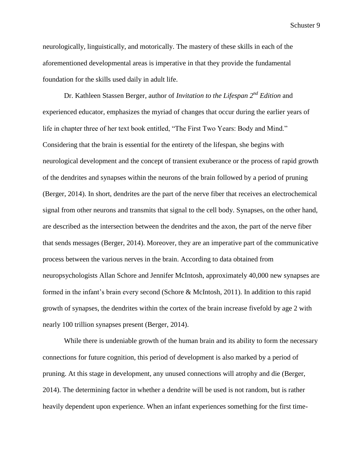neurologically, linguistically, and motorically. The mastery of these skills in each of the aforementioned developmental areas is imperative in that they provide the fundamental foundation for the skills used daily in adult life.

Dr. Kathleen Stassen Berger, author of *Invitation to the Lifespan 2 nd Edition* and experienced educator, emphasizes the myriad of changes that occur during the earlier years of life in chapter three of her text book entitled, "The First Two Years: Body and Mind." Considering that the brain is essential for the entirety of the lifespan, she begins with neurological development and the concept of transient exuberance or the process of rapid growth of the dendrites and synapses within the neurons of the brain followed by a period of pruning (Berger, 2014). In short, dendrites are the part of the nerve fiber that receives an electrochemical signal from other neurons and transmits that signal to the cell body. Synapses, on the other hand, are described as the intersection between the dendrites and the axon, the part of the nerve fiber that sends messages (Berger, 2014). Moreover, they are an imperative part of the communicative process between the various nerves in the brain. According to data obtained from neuropsychologists Allan Schore and Jennifer McIntosh, approximately 40,000 new synapses are formed in the infant's brain every second (Schore & McIntosh, 2011). In addition to this rapid growth of synapses, the dendrites within the cortex of the brain increase fivefold by age 2 with nearly 100 trillion synapses present (Berger, 2014).

While there is undeniable growth of the human brain and its ability to form the necessary connections for future cognition, this period of development is also marked by a period of pruning. At this stage in development, any unused connections will atrophy and die (Berger, 2014). The determining factor in whether a dendrite will be used is not random, but is rather heavily dependent upon experience. When an infant experiences something for the first time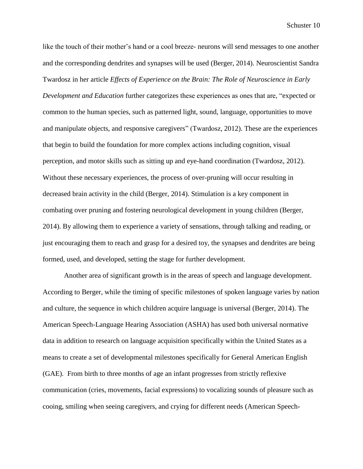like the touch of their mother's hand or a cool breeze- neurons will send messages to one another and the corresponding dendrites and synapses will be used (Berger, 2014). Neuroscientist Sandra Twardosz in her article *Effects of Experience on the Brain: The Role of Neuroscience in Early Development and Education* further categorizes these experiences as ones that are, "expected or common to the human species, such as patterned light, sound, language, opportunities to move and manipulate objects, and responsive caregivers" (Twardosz, 2012). These are the experiences that begin to build the foundation for more complex actions including cognition, visual perception, and motor skills such as sitting up and eye-hand coordination (Twardosz, 2012). Without these necessary experiences, the process of over-pruning will occur resulting in decreased brain activity in the child (Berger, 2014). Stimulation is a key component in combating over pruning and fostering neurological development in young children (Berger, 2014). By allowing them to experience a variety of sensations, through talking and reading, or just encouraging them to reach and grasp for a desired toy, the synapses and dendrites are being formed, used, and developed, setting the stage for further development.

Another area of significant growth is in the areas of speech and language development. According to Berger, while the timing of specific milestones of spoken language varies by nation and culture, the sequence in which children acquire language is universal (Berger, 2014). The American Speech-Language Hearing Association (ASHA) has used both universal normative data in addition to research on language acquisition specifically within the United States as a means to create a set of developmental milestones specifically for General American English (GAE). From birth to three months of age an infant progresses from strictly reflexive communication (cries, movements, facial expressions) to vocalizing sounds of pleasure such as cooing, smiling when seeing caregivers, and crying for different needs (American Speech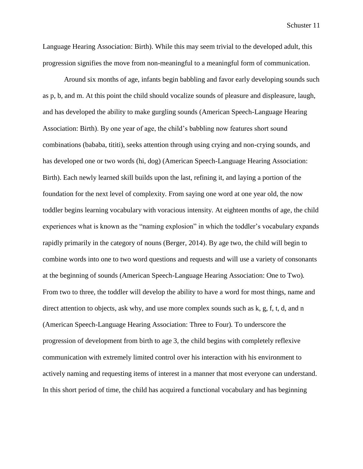Language Hearing Association: Birth). While this may seem trivial to the developed adult, this progression signifies the move from non-meaningful to a meaningful form of communication.

Around six months of age, infants begin babbling and favor early developing sounds such as p, b, and m. At this point the child should vocalize sounds of pleasure and displeasure, laugh, and has developed the ability to make gurgling sounds (American Speech-Language Hearing Association: Birth). By one year of age, the child's babbling now features short sound combinations (bababa, tititi), seeks attention through using crying and non-crying sounds, and has developed one or two words (hi, dog) (American Speech-Language Hearing Association: Birth). Each newly learned skill builds upon the last, refining it, and laying a portion of the foundation for the next level of complexity. From saying one word at one year old, the now toddler begins learning vocabulary with voracious intensity. At eighteen months of age, the child experiences what is known as the "naming explosion" in which the toddler's vocabulary expands rapidly primarily in the category of nouns (Berger, 2014). By age two, the child will begin to combine words into one to two word questions and requests and will use a variety of consonants at the beginning of sounds (American Speech-Language Hearing Association: One to Two)*.* From two to three, the toddler will develop the ability to have a word for most things, name and direct attention to objects, ask why, and use more complex sounds such as k, g, f, t, d, and n (American Speech-Language Hearing Association: Three to Four)*.* To underscore the progression of development from birth to age 3, the child begins with completely reflexive communication with extremely limited control over his interaction with his environment to actively naming and requesting items of interest in a manner that most everyone can understand. In this short period of time, the child has acquired a functional vocabulary and has beginning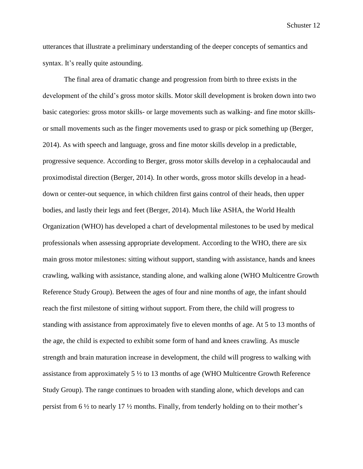utterances that illustrate a preliminary understanding of the deeper concepts of semantics and syntax. It's really quite astounding.

The final area of dramatic change and progression from birth to three exists in the development of the child's gross motor skills. Motor skill development is broken down into two basic categories: gross motor skills- or large movements such as walking- and fine motor skillsor small movements such as the finger movements used to grasp or pick something up (Berger, 2014). As with speech and language, gross and fine motor skills develop in a predictable, progressive sequence. According to Berger, gross motor skills develop in a cephalocaudal and proximodistal direction (Berger, 2014). In other words, gross motor skills develop in a headdown or center-out sequence, in which children first gains control of their heads, then upper bodies, and lastly their legs and feet (Berger, 2014). Much like ASHA, the World Health Organization (WHO) has developed a chart of developmental milestones to be used by medical professionals when assessing appropriate development. According to the WHO, there are six main gross motor milestones: sitting without support, standing with assistance, hands and knees crawling, walking with assistance, standing alone, and walking alone (WHO Multicentre Growth Reference Study Group). Between the ages of four and nine months of age, the infant should reach the first milestone of sitting without support. From there, the child will progress to standing with assistance from approximately five to eleven months of age. At 5 to 13 months of the age, the child is expected to exhibit some form of hand and knees crawling. As muscle strength and brain maturation increase in development, the child will progress to walking with assistance from approximately  $5\frac{1}{2}$  to 13 months of age (WHO Multicentre Growth Reference Study Group). The range continues to broaden with standing alone, which develops and can persist from 6 ½ to nearly 17 ½ months. Finally, from tenderly holding on to their mother's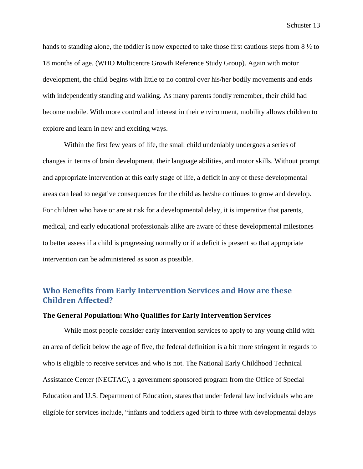hands to standing alone, the toddler is now expected to take those first cautious steps from 8 ½ to 18 months of age. (WHO Multicentre Growth Reference Study Group). Again with motor development, the child begins with little to no control over his/her bodily movements and ends with independently standing and walking. As many parents fondly remember, their child had become mobile. With more control and interest in their environment, mobility allows children to explore and learn in new and exciting ways.

Within the first few years of life, the small child undeniably undergoes a series of changes in terms of brain development, their language abilities, and motor skills. Without prompt and appropriate intervention at this early stage of life, a deficit in any of these developmental areas can lead to negative consequences for the child as he/she continues to grow and develop. For children who have or are at risk for a developmental delay, it is imperative that parents, medical, and early educational professionals alike are aware of these developmental milestones to better assess if a child is progressing normally or if a deficit is present so that appropriate intervention can be administered as soon as possible.

## **Who Benefits from Early Intervention Services and How are these Children Affected?**

#### **The General Population: Who Qualifies for Early Intervention Services**

While most people consider early intervention services to apply to any young child with an area of deficit below the age of five, the federal definition is a bit more stringent in regards to who is eligible to receive services and who is not. The National Early Childhood Technical Assistance Center (NECTAC), a government sponsored program from the Office of Special Education and U.S. Department of Education, states that under federal law individuals who are eligible for services include, "infants and toddlers aged birth to three with developmental delays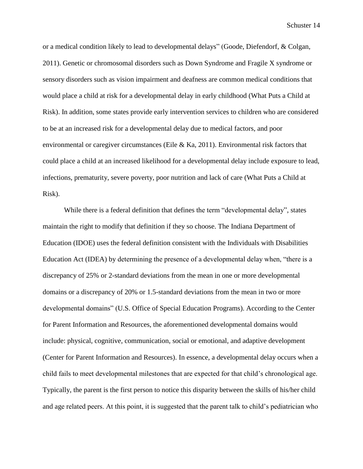or a medical condition likely to lead to developmental delays" (Goode, Diefendorf, & Colgan, 2011). Genetic or chromosomal disorders such as Down Syndrome and Fragile X syndrome or sensory disorders such as vision impairment and deafness are common medical conditions that would place a child at risk for a developmental delay in early childhood (What Puts a Child at Risk). In addition, some states provide early intervention services to children who are considered to be at an increased risk for a developmental delay due to medical factors, and poor environmental or caregiver circumstances (Eile & Ka, 2011). Environmental risk factors that could place a child at an increased likelihood for a developmental delay include exposure to lead, infections, prematurity, severe poverty, poor nutrition and lack of care (What Puts a Child at Risk).

While there is a federal definition that defines the term "developmental delay", states maintain the right to modify that definition if they so choose. The Indiana Department of Education (IDOE) uses the federal definition consistent with the Individuals with Disabilities Education Act (IDEA) by determining the presence of a developmental delay when, "there is a discrepancy of 25% or 2-standard deviations from the mean in one or more developmental domains or a discrepancy of 20% or 1.5-standard deviations from the mean in two or more developmental domains" (U.S. Office of Special Education Programs). According to the Center for Parent Information and Resources, the aforementioned developmental domains would include: physical, cognitive, communication, social or emotional, and adaptive development (Center for Parent Information and Resources). In essence, a developmental delay occurs when a child fails to meet developmental milestones that are expected for that child's chronological age. Typically, the parent is the first person to notice this disparity between the skills of his/her child and age related peers. At this point, it is suggested that the parent talk to child's pediatrician who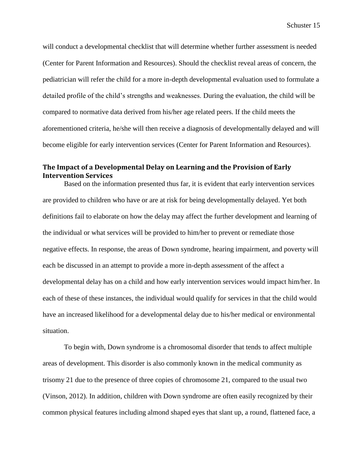will conduct a developmental checklist that will determine whether further assessment is needed (Center for Parent Information and Resources). Should the checklist reveal areas of concern, the pediatrician will refer the child for a more in-depth developmental evaluation used to formulate a detailed profile of the child's strengths and weaknesses. During the evaluation, the child will be compared to normative data derived from his/her age related peers. If the child meets the aforementioned criteria, he/she will then receive a diagnosis of developmentally delayed and will become eligible for early intervention services (Center for Parent Information and Resources).

### **The Impact of a Developmental Delay on Learning and the Provision of Early Intervention Services**

Based on the information presented thus far, it is evident that early intervention services are provided to children who have or are at risk for being developmentally delayed. Yet both definitions fail to elaborate on how the delay may affect the further development and learning of the individual or what services will be provided to him/her to prevent or remediate those negative effects. In response, the areas of Down syndrome, hearing impairment, and poverty will each be discussed in an attempt to provide a more in-depth assessment of the affect a developmental delay has on a child and how early intervention services would impact him/her. In each of these of these instances, the individual would qualify for services in that the child would have an increased likelihood for a developmental delay due to his/her medical or environmental situation.

To begin with, Down syndrome is a chromosomal disorder that tends to affect multiple areas of development. This disorder is also commonly known in the medical community as trisomy 21 due to the presence of three copies of chromosome 21, compared to the usual two (Vinson, 2012). In addition, children with Down syndrome are often easily recognized by their common physical features including almond shaped eyes that slant up, a round, flattened face, a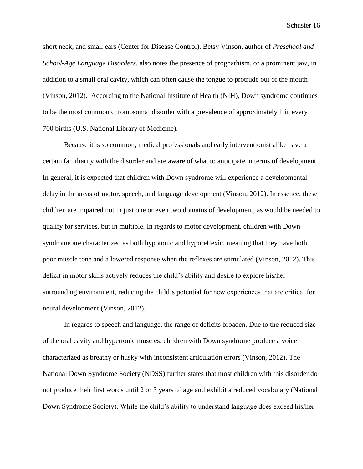short neck, and small ears (Center for Disease Control). Betsy Vinson, author of *Preschool and School-Age Language Disorders*, also notes the presence of prognathism, or a prominent jaw, in addition to a small oral cavity, which can often cause the tongue to protrude out of the mouth (Vinson, 2012). According to the National Institute of Health (NIH), Down syndrome continues to be the most common chromosomal disorder with a prevalence of approximately 1 in every 700 births (U.S. National Library of Medicine).

Because it is so common, medical professionals and early interventionist alike have a certain familiarity with the disorder and are aware of what to anticipate in terms of development. In general, it is expected that children with Down syndrome will experience a developmental delay in the areas of motor, speech, and language development (Vinson, 2012). In essence, these children are impaired not in just one or even two domains of development, as would be needed to qualify for services, but in multiple. In regards to motor development, children with Down syndrome are characterized as both hypotonic and hyporeflexic, meaning that they have both poor muscle tone and a lowered response when the reflexes are stimulated (Vinson, 2012). This deficit in motor skills actively reduces the child's ability and desire to explore his/her surrounding environment, reducing the child's potential for new experiences that are critical for neural development (Vinson, 2012).

In regards to speech and language, the range of deficits broaden. Due to the reduced size of the oral cavity and hypertonic muscles, children with Down syndrome produce a voice characterized as breathy or husky with inconsistent articulation errors (Vinson, 2012). The National Down Syndrome Society (NDSS) further states that most children with this disorder do not produce their first words until 2 or 3 years of age and exhibit a reduced vocabulary (National Down Syndrome Society). While the child's ability to understand language does exceed his/her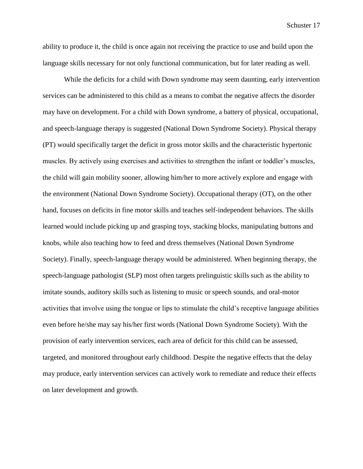ability to produce it, the child is once again not receiving the practice to use and build upon the language skills necessary for not only functional communication, but for later reading as well.

While the deficits for a child with Down syndrome may seem daunting, early intervention services can be administered to this child as a means to combat the negative affects the disorder may have on development. For a child with Down syndrome, a battery of physical, occupational, and speech-language therapy is suggested (National Down Syndrome Society). Physical therapy (PT) would specifically target the deficit in gross motor skills and the characteristic hypertonic muscles. By actively using exercises and activities to strengthen the infant or toddler's muscles, the child will gain mobility sooner, allowing him/her to more actively explore and engage with the environment (National Down Syndrome Society). Occupational therapy (OT), on the other hand, focuses on deficits in fine motor skills and teaches self-independent behaviors. The skills learned would include picking up and grasping toys, stacking blocks, manipulating buttons and knobs, while also teaching how to feed and dress themselves (National Down Syndrome Society). Finally, speech-language therapy would be administered. When beginning therapy, the speech-language pathologist (SLP) most often targets prelinguistic skills such as the ability to imitate sounds, auditory skills such as listening to music or speech sounds, and oral-motor activities that involve using the tongue or lips to stimulate the child's receptive language abilities even before he/she may say his/her first words (National Down Syndrome Society). With the provision of early intervention services, each area of deficit for this child can be assessed, targeted, and monitored throughout early childhood. Despite the negative effects that the delay may produce, early intervention services can actively work to remediate and reduce their effects on later development and growth.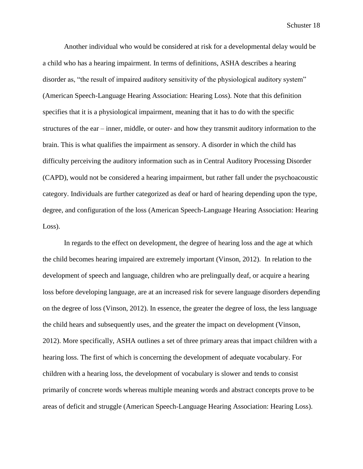Another individual who would be considered at risk for a developmental delay would be a child who has a hearing impairment. In terms of definitions, ASHA describes a hearing disorder as, "the result of impaired auditory sensitivity of the physiological auditory system" (American Speech-Language Hearing Association: Hearing Loss). Note that this definition specifies that it is a physiological impairment, meaning that it has to do with the specific structures of the ear – inner, middle, or outer- and how they transmit auditory information to the brain. This is what qualifies the impairment as sensory. A disorder in which the child has difficulty perceiving the auditory information such as in Central Auditory Processing Disorder (CAPD), would not be considered a hearing impairment, but rather fall under the psychoacoustic category. Individuals are further categorized as deaf or hard of hearing depending upon the type, degree, and configuration of the loss (American Speech-Language Hearing Association: Hearing Loss).

In regards to the effect on development, the degree of hearing loss and the age at which the child becomes hearing impaired are extremely important (Vinson, 2012). In relation to the development of speech and language, children who are prelingually deaf, or acquire a hearing loss before developing language, are at an increased risk for severe language disorders depending on the degree of loss (Vinson, 2012). In essence, the greater the degree of loss, the less language the child hears and subsequently uses, and the greater the impact on development (Vinson, 2012). More specifically, ASHA outlines a set of three primary areas that impact children with a hearing loss. The first of which is concerning the development of adequate vocabulary. For children with a hearing loss, the development of vocabulary is slower and tends to consist primarily of concrete words whereas multiple meaning words and abstract concepts prove to be areas of deficit and struggle (American Speech-Language Hearing Association: Hearing Loss).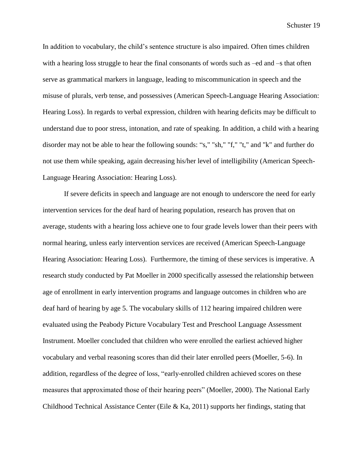In addition to vocabulary, the child's sentence structure is also impaired. Often times children with a hearing loss struggle to hear the final consonants of words such as –ed and –s that often serve as grammatical markers in language, leading to miscommunication in speech and the misuse of plurals, verb tense, and possessives (American Speech-Language Hearing Association: Hearing Loss). In regards to verbal expression, children with hearing deficits may be difficult to understand due to poor stress, intonation, and rate of speaking. In addition, a child with a hearing disorder may not be able to hear the following sounds: "s," "sh," "f," "t," and "k" and further do not use them while speaking, again decreasing his/her level of intelligibility (American Speech-Language Hearing Association: Hearing Loss).

If severe deficits in speech and language are not enough to underscore the need for early intervention services for the deaf hard of hearing population, research has proven that on average, students with a hearing loss achieve one to four grade levels lower than their peers with normal hearing, unless early intervention services are received (American Speech-Language Hearing Association: Hearing Loss). Furthermore, the timing of these services is imperative. A research study conducted by Pat Moeller in 2000 specifically assessed the relationship between age of enrollment in early intervention programs and language outcomes in children who are deaf hard of hearing by age 5. The vocabulary skills of 112 hearing impaired children were evaluated using the Peabody Picture Vocabulary Test and Preschool Language Assessment Instrument. Moeller concluded that children who were enrolled the earliest achieved higher vocabulary and verbal reasoning scores than did their later enrolled peers (Moeller, 5-6). In addition, regardless of the degree of loss, "early-enrolled children achieved scores on these measures that approximated those of their hearing peers" (Moeller, 2000). The National Early Childhood Technical Assistance Center (Eile & Ka, 2011) supports her findings, stating that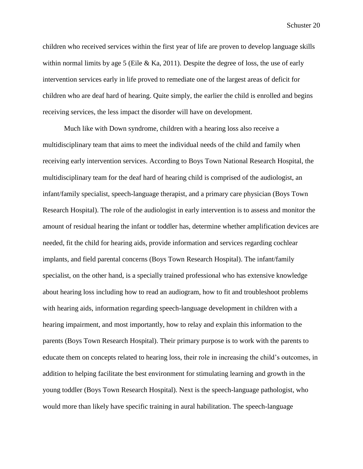children who received services within the first year of life are proven to develop language skills within normal limits by age 5 (Eile & Ka, 2011). Despite the degree of loss, the use of early intervention services early in life proved to remediate one of the largest areas of deficit for children who are deaf hard of hearing. Quite simply, the earlier the child is enrolled and begins receiving services, the less impact the disorder will have on development.

Much like with Down syndrome, children with a hearing loss also receive a multidisciplinary team that aims to meet the individual needs of the child and family when receiving early intervention services. According to Boys Town National Research Hospital, the multidisciplinary team for the deaf hard of hearing child is comprised of the audiologist, an infant/family specialist, speech-language therapist, and a primary care physician (Boys Town Research Hospital). The role of the audiologist in early intervention is to assess and monitor the amount of residual hearing the infant or toddler has, determine whether amplification devices are needed, fit the child for hearing aids, provide information and services regarding cochlear implants, and field parental concerns (Boys Town Research Hospital). The infant/family specialist, on the other hand, is a specially trained professional who has extensive knowledge about hearing loss including how to read an audiogram, how to fit and troubleshoot problems with hearing aids, information regarding speech-language development in children with a hearing impairment, and most importantly, how to relay and explain this information to the parents (Boys Town Research Hospital). Their primary purpose is to work with the parents to educate them on concepts related to hearing loss, their role in increasing the child's outcomes, in addition to helping facilitate the best environment for stimulating learning and growth in the young toddler (Boys Town Research Hospital). Next is the speech-language pathologist, who would more than likely have specific training in aural habilitation. The speech-language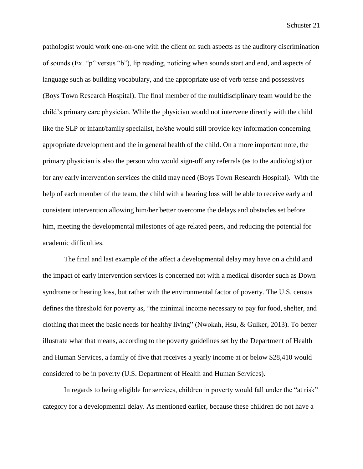pathologist would work one-on-one with the client on such aspects as the auditory discrimination of sounds (Ex. "p" versus "b"), lip reading, noticing when sounds start and end, and aspects of language such as building vocabulary, and the appropriate use of verb tense and possessives (Boys Town Research Hospital). The final member of the multidisciplinary team would be the child's primary care physician. While the physician would not intervene directly with the child like the SLP or infant/family specialist, he/she would still provide key information concerning appropriate development and the in general health of the child. On a more important note, the primary physician is also the person who would sign-off any referrals (as to the audiologist) or for any early intervention services the child may need (Boys Town Research Hospital). With the help of each member of the team, the child with a hearing loss will be able to receive early and consistent intervention allowing him/her better overcome the delays and obstacles set before him, meeting the developmental milestones of age related peers, and reducing the potential for academic difficulties.

The final and last example of the affect a developmental delay may have on a child and the impact of early intervention services is concerned not with a medical disorder such as Down syndrome or hearing loss, but rather with the environmental factor of poverty. The U.S. census defines the threshold for poverty as, "the minimal income necessary to pay for food, shelter, and clothing that meet the basic needs for healthy living" (Nwokah, Hsu, & Gulker, 2013). To better illustrate what that means, according to the poverty guidelines set by the Department of Health and Human Services, a family of five that receives a yearly income at or below \$28,410 would considered to be in poverty (U.S. Department of Health and Human Services).

In regards to being eligible for services, children in poverty would fall under the "at risk" category for a developmental delay. As mentioned earlier, because these children do not have a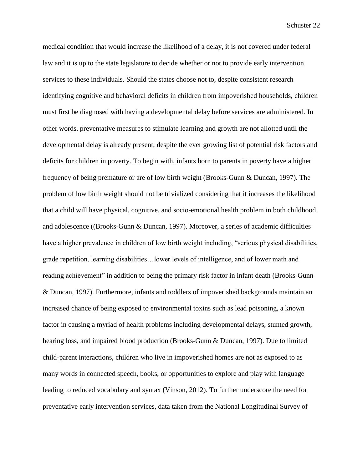medical condition that would increase the likelihood of a delay, it is not covered under federal law and it is up to the state legislature to decide whether or not to provide early intervention services to these individuals. Should the states choose not to, despite consistent research identifying cognitive and behavioral deficits in children from impoverished households, children must first be diagnosed with having a developmental delay before services are administered. In other words, preventative measures to stimulate learning and growth are not allotted until the developmental delay is already present, despite the ever growing list of potential risk factors and deficits for children in poverty. To begin with, infants born to parents in poverty have a higher frequency of being premature or are of low birth weight (Brooks-Gunn & Duncan, 1997). The problem of low birth weight should not be trivialized considering that it increases the likelihood that a child will have physical, cognitive, and socio-emotional health problem in both childhood and adolescence ((Brooks-Gunn & Duncan, 1997). Moreover, a series of academic difficulties have a higher prevalence in children of low birth weight including, "serious physical disabilities, grade repetition, learning disabilities…lower levels of intelligence, and of lower math and reading achievement" in addition to being the primary risk factor in infant death (Brooks-Gunn & Duncan, 1997). Furthermore, infants and toddlers of impoverished backgrounds maintain an increased chance of being exposed to environmental toxins such as lead poisoning, a known factor in causing a myriad of health problems including developmental delays, stunted growth, hearing loss, and impaired blood production (Brooks-Gunn & Duncan, 1997). Due to limited child-parent interactions, children who live in impoverished homes are not as exposed to as many words in connected speech, books, or opportunities to explore and play with language leading to reduced vocabulary and syntax (Vinson, 2012). To further underscore the need for preventative early intervention services, data taken from the National Longitudinal Survey of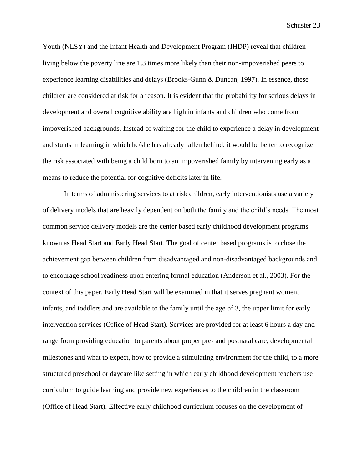Youth (NLSY) and the Infant Health and Development Program (IHDP) reveal that children living below the poverty line are 1.3 times more likely than their non-impoverished peers to experience learning disabilities and delays (Brooks-Gunn & Duncan, 1997). In essence, these children are considered at risk for a reason. It is evident that the probability for serious delays in development and overall cognitive ability are high in infants and children who come from impoverished backgrounds. Instead of waiting for the child to experience a delay in development and stunts in learning in which he/she has already fallen behind, it would be better to recognize the risk associated with being a child born to an impoverished family by intervening early as a means to reduce the potential for cognitive deficits later in life.

In terms of administering services to at risk children, early interventionists use a variety of delivery models that are heavily dependent on both the family and the child's needs. The most common service delivery models are the center based early childhood development programs known as Head Start and Early Head Start. The goal of center based programs is to close the achievement gap between children from disadvantaged and non-disadvantaged backgrounds and to encourage school readiness upon entering formal education (Anderson et al., 2003). For the context of this paper, Early Head Start will be examined in that it serves pregnant women, infants, and toddlers and are available to the family until the age of 3, the upper limit for early intervention services (Office of Head Start). Services are provided for at least 6 hours a day and range from providing education to parents about proper pre- and postnatal care, developmental milestones and what to expect, how to provide a stimulating environment for the child, to a more structured preschool or daycare like setting in which early childhood development teachers use curriculum to guide learning and provide new experiences to the children in the classroom (Office of Head Start). Effective early childhood curriculum focuses on the development of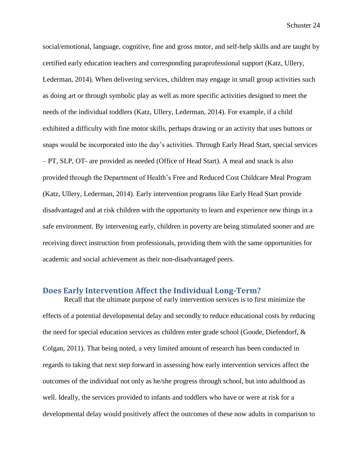social/emotional, language, cognitive, fine and gross motor, and self-help skills and are taught by certified early education teachers and corresponding paraprofessional support (Katz, Ullery, Lederman, 2014). When delivering services, children may engage in small group activities such as doing art or through symbolic play as well as more specific activities designed to meet the needs of the individual toddlers (Katz, Ullery, Lederman, 2014). For example, if a child exhibited a difficulty with fine motor skills, perhaps drawing or an activity that uses buttons or snaps would be incorporated into the day's activities. Through Early Head Start, special services – PT, SLP, OT- are provided as needed (Office of Head Start). A meal and snack is also provided through the Department of Health's Free and Reduced Cost Childcare Meal Program (Katz, Ullery, Lederman, 2014). Early intervention programs like Early Head Start provide disadvantaged and at risk children with the opportunity to learn and experience new things in a safe environment. By intervening early, children in poverty are being stimulated sooner and are receiving direct instruction from professionals, providing them with the same opportunities for academic and social achievement as their non-disadvantaged peers.

## **Does Early Intervention Affect the Individual Long-Term?**

Recall that the ultimate purpose of early intervention services is to first minimize the effects of a potential developmental delay and secondly to reduce educational costs by reducing the need for special education services as children enter grade school (Goode, Diefendorf, & Colgan, 2011). That being noted, a very limited amount of research has been conducted in regards to taking that next step forward in assessing how early intervention services affect the outcomes of the individual not only as he/she progress through school, but into adulthood as well. Ideally, the services provided to infants and toddlers who have or were at risk for a developmental delay would positively affect the outcomes of these now adults in comparison to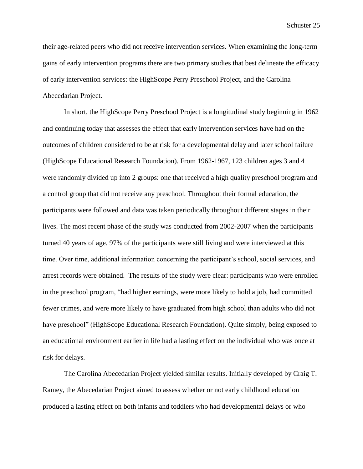their age-related peers who did not receive intervention services. When examining the long-term gains of early intervention programs there are two primary studies that best delineate the efficacy of early intervention services: the HighScope Perry Preschool Project, and the Carolina Abecedarian Project.

In short, the HighScope Perry Preschool Project is a longitudinal study beginning in 1962 and continuing today that assesses the effect that early intervention services have had on the outcomes of children considered to be at risk for a developmental delay and later school failure (HighScope Educational Research Foundation). From 1962-1967, 123 children ages 3 and 4 were randomly divided up into 2 groups: one that received a high quality preschool program and a control group that did not receive any preschool. Throughout their formal education, the participants were followed and data was taken periodically throughout different stages in their lives. The most recent phase of the study was conducted from 2002-2007 when the participants turned 40 years of age. 97% of the participants were still living and were interviewed at this time. Over time, additional information concerning the participant's school, social services, and arrest records were obtained. The results of the study were clear: participants who were enrolled in the preschool program, "had higher earnings, were more likely to hold a job, had committed fewer crimes, and were more likely to have graduated from high school than adults who did not have preschool" (HighScope Educational Research Foundation). Quite simply, being exposed to an educational environment earlier in life had a lasting effect on the individual who was once at risk for delays.

The Carolina Abecedarian Project yielded similar results. Initially developed by Craig T. Ramey, the Abecedarian Project aimed to assess whether or not early childhood education produced a lasting effect on both infants and toddlers who had developmental delays or who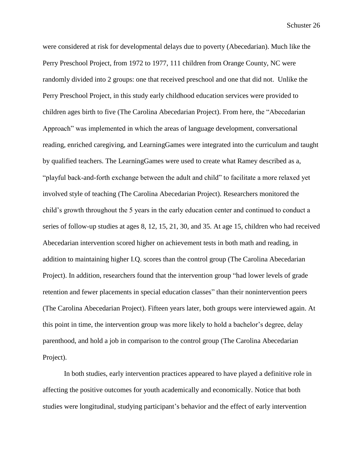were considered at risk for developmental delays due to poverty (Abecedarian). Much like the Perry Preschool Project, from 1972 to 1977, 111 children from Orange County, NC were randomly divided into 2 groups: one that received preschool and one that did not. Unlike the Perry Preschool Project, in this study early childhood education services were provided to children ages birth to five (The Carolina Abecedarian Project). From here, the "Abecedarian Approach" was implemented in which the areas of language development, conversational reading, enriched caregiving, and LearningGames were integrated into the curriculum and taught by qualified teachers. The LearningGames were used to create what Ramey described as a, "playful back-and-forth exchange between the adult and child" to facilitate a more relaxed yet involved style of teaching (The Carolina Abecedarian Project). Researchers monitored the child's growth throughout the 5 years in the early education center and continued to conduct a series of follow-up studies at ages 8, 12, 15, 21, 30, and 35. At age 15, children who had received Abecedarian intervention scored higher on achievement tests in both math and reading, in addition to maintaining higher I.Q. scores than the control group (The Carolina Abecedarian Project). In addition, researchers found that the intervention group "had lower levels of grade retention and fewer placements in special education classes" than their nonintervention peers (The Carolina Abecedarian Project). Fifteen years later, both groups were interviewed again. At this point in time, the intervention group was more likely to hold a bachelor's degree, delay parenthood, and hold a job in comparison to the control group (The Carolina Abecedarian Project).

In both studies, early intervention practices appeared to have played a definitive role in affecting the positive outcomes for youth academically and economically. Notice that both studies were longitudinal, studying participant's behavior and the effect of early intervention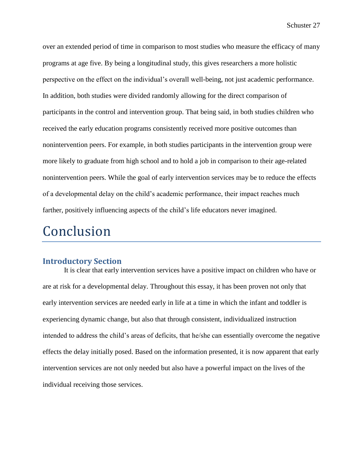over an extended period of time in comparison to most studies who measure the efficacy of many programs at age five. By being a longitudinal study, this gives researchers a more holistic perspective on the effect on the individual's overall well-being, not just academic performance. In addition, both studies were divided randomly allowing for the direct comparison of participants in the control and intervention group. That being said, in both studies children who received the early education programs consistently received more positive outcomes than nonintervention peers. For example, in both studies participants in the intervention group were more likely to graduate from high school and to hold a job in comparison to their age-related nonintervention peers. While the goal of early intervention services may be to reduce the effects of a developmental delay on the child's academic performance, their impact reaches much farther, positively influencing aspects of the child's life educators never imagined.

# Conclusion

### **Introductory Section**

It is clear that early intervention services have a positive impact on children who have or are at risk for a developmental delay. Throughout this essay, it has been proven not only that early intervention services are needed early in life at a time in which the infant and toddler is experiencing dynamic change, but also that through consistent, individualized instruction intended to address the child's areas of deficits, that he/she can essentially overcome the negative effects the delay initially posed. Based on the information presented, it is now apparent that early intervention services are not only needed but also have a powerful impact on the lives of the individual receiving those services.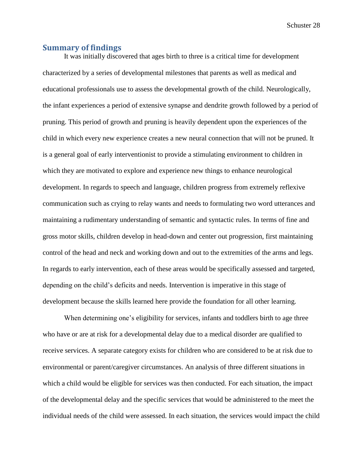#### **Summary of findings**

It was initially discovered that ages birth to three is a critical time for development characterized by a series of developmental milestones that parents as well as medical and educational professionals use to assess the developmental growth of the child. Neurologically, the infant experiences a period of extensive synapse and dendrite growth followed by a period of pruning. This period of growth and pruning is heavily dependent upon the experiences of the child in which every new experience creates a new neural connection that will not be pruned. It is a general goal of early interventionist to provide a stimulating environment to children in which they are motivated to explore and experience new things to enhance neurological development. In regards to speech and language, children progress from extremely reflexive communication such as crying to relay wants and needs to formulating two word utterances and maintaining a rudimentary understanding of semantic and syntactic rules. In terms of fine and gross motor skills, children develop in head-down and center out progression, first maintaining control of the head and neck and working down and out to the extremities of the arms and legs. In regards to early intervention, each of these areas would be specifically assessed and targeted, depending on the child's deficits and needs. Intervention is imperative in this stage of development because the skills learned here provide the foundation for all other learning.

When determining one's eligibility for services, infants and toddlers birth to age three who have or are at risk for a developmental delay due to a medical disorder are qualified to receive services. A separate category exists for children who are considered to be at risk due to environmental or parent/caregiver circumstances. An analysis of three different situations in which a child would be eligible for services was then conducted. For each situation, the impact of the developmental delay and the specific services that would be administered to the meet the individual needs of the child were assessed. In each situation, the services would impact the child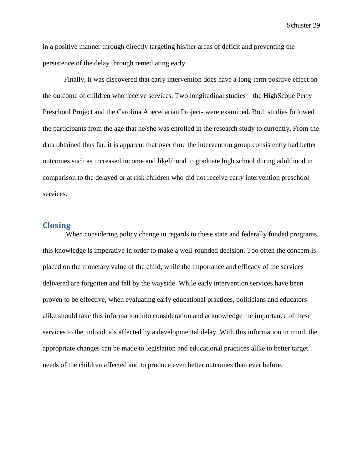in a positive manner through directly targeting his/her areas of deficit and preventing the persistence of the delay through remediating early.

Finally, it was discovered that early intervention does have a long-term positive effect on the outcome of children who receive services. Two longitudinal studies – the HighScope Perry Preschool Project and the Carolina Abecedarian Project- were examined. Both studies followed the participants from the age that he/she was enrolled in the research study to currently. From the data obtained thus far, it is apparent that over time the intervention group consistently had better outcomes such as increased income and likelihood to graduate high school during adulthood in comparison to the delayed or at risk children who did not receive early intervention preschool services.

### **Closing**

When considering policy change in regards to these state and federally funded programs, this knowledge is imperative in order to make a well-rounded decision. Too often the concern is placed on the monetary value of the child, while the importance and efficacy of the services delivered are forgotten and fall by the wayside. While early intervention services have been proven to be effective, when evaluating early educational practices, politicians and educators alike should take this information into consideration and acknowledge the importance of these services to the individuals affected by a developmental delay. With this information in mind, the appropriate changes can be made to legislation and educational practices alike to better target needs of the children affected and to produce even better outcomes than ever before.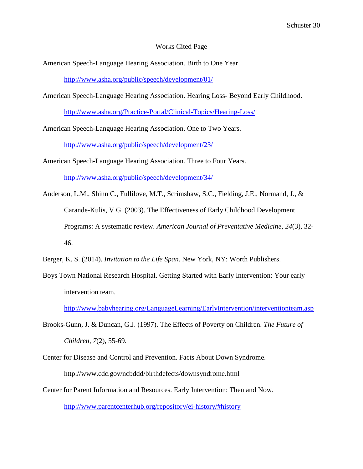#### Works Cited Page

American Speech-Language Hearing Association. Birth to One Year.

<http://www.asha.org/public/speech/development/01/>

American Speech-Language Hearing Association. Hearing Loss- Beyond Early Childhood.

<http://www.asha.org/Practice-Portal/Clinical-Topics/Hearing-Loss/>

American Speech-Language Hearing Association. One to Two Years.

<http://www.asha.org/public/speech/development/23/>

American Speech-Language Hearing Association. Three to Four Years.

<http://www.asha.org/public/speech/development/34/>

Anderson, L.M., Shinn C., Fullilove, M.T., Scrimshaw, S.C., Fielding, J.E., Normand, J., & Carande-Kulis, V.G. (2003). The Effectiveness of Early Childhood Development Programs: A systematic review. *American Journal of Preventative Medicine, 24*(3), 32- 46.

Berger, K. S. (2014). *Invitation to the Life Span*. New York, NY: Worth Publishers.

Boys Town National Research Hospital. Getting Started with Early Intervention: Your early intervention team.

<http://www.babyhearing.org/LanguageLearning/EarlyIntervention/interventionteam.asp>

- Brooks-Gunn, J. & Duncan, G.J. (1997). The Effects of Poverty on Children. *The Future of Children, 7*(2), 55-69.
- Center for Disease and Control and Prevention. Facts About Down Syndrome. http://www.cdc.gov/ncbddd/birthdefects/downsyndrome.html
- Center for Parent Information and Resources. Early Intervention: Then and Now.

<http://www.parentcenterhub.org/repository/ei-history/#history>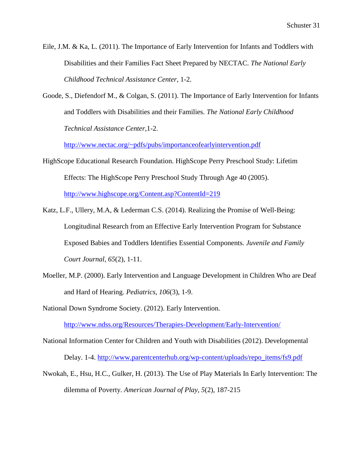Eile, J.M. & Ka, L. (2011). The Importance of Early Intervention for Infants and Toddlers with Disabilities and their Families Fact Sheet Prepared by NECTAC. *The National Early Childhood Technical Assistance Center*, 1-2.

Goode, S., Diefendorf M., & Colgan, S. (2011). The Importance of Early Intervention for Infants and Toddlers with Disabilities and their Families. *The National Early Childhood Technical Assistance Center,*1-2.

<http://www.nectac.org/~pdfs/pubs/importanceofearlyintervention.pdf>

HighScope Educational Research Foundation. HighScope Perry Preschool Study: Lifetim Effects: The HighScope Perry Preschool Study Through Age 40 (2005).

<http://www.highscope.org/Content.asp?ContentId=219>

- Katz, L.F., Ullery, M.A, & Lederman C.S. (2014). Realizing the Promise of Well-Being: Longitudinal Research from an Effective Early Intervention Program for Substance Exposed Babies and Toddlers Identifies Essential Components. *Juvenile and Family Court Journal*, *65*(2), 1-11.
- Moeller, M.P. (2000). Early Intervention and Language Development in Children Who are Deaf and Hard of Hearing. *Pediatrics, 106*(3), 1-9.

National Down Syndrome Society. (2012). Early Intervention.

<http://www.ndss.org/Resources/Therapies-Development/Early-Intervention/>

- National Information Center for Children and Youth with Disabilities (2012). Developmental Delay. 1-4. [http://www.parentcenterhub.org/wp-content/uploads/repo\\_items/fs9.pdf](http://www.parentcenterhub.org/wp-content/uploads/repo_items/fs9.pdf)
- Nwokah, E., Hsu, H.C., Gulker, H. (2013). The Use of Play Materials In Early Intervention: The dilemma of Poverty. *American Journal of Play, 5*(2), 187-215